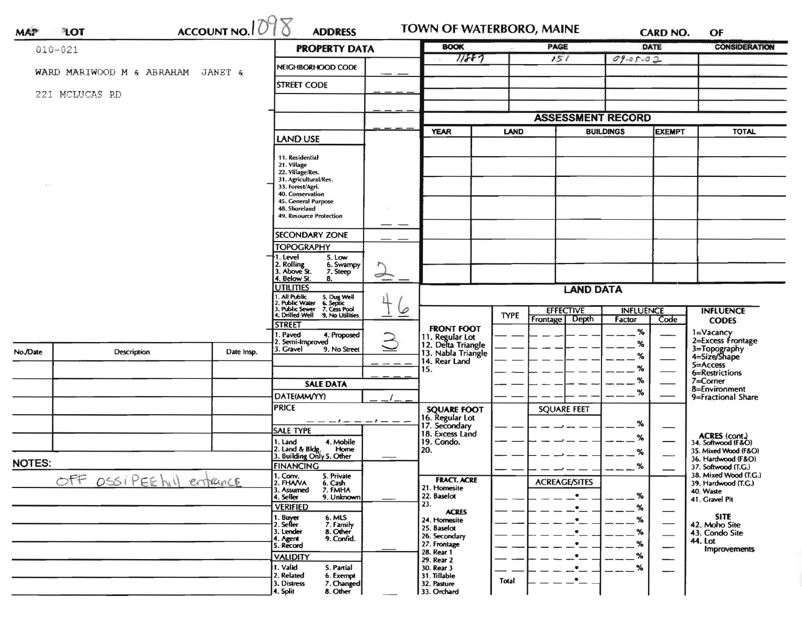| <b>MAP</b>                        | ACCOUNT NO. $1098$<br>LOT | <b>ADDRESS</b>                  |                                                                                                                    |                             | TOWN OF WATERBORO, MAINE<br><b>PAGE</b> |                                       |                          | <b>CARD NO.</b>                       |                              | OF                       |                                           |
|-----------------------------------|---------------------------|---------------------------------|--------------------------------------------------------------------------------------------------------------------|-----------------------------|-----------------------------------------|---------------------------------------|--------------------------|---------------------------------------|------------------------------|--------------------------|-------------------------------------------|
| $010 - 021$                       | <b>PROPERTY DATA</b>      |                                 |                                                                                                                    | 11887                       | <b>BOOK</b>                             |                                       |                          | <b>DATE</b>                           | <b>CONSIDERATION</b>         |                          |                                           |
| WARD MARIWOOD M & ABRAHAM JANET & |                           | NEIGHBORHOOD CODE               |                                                                                                                    |                             |                                         | 151                                   | $09 - 05 - 02$           |                                       |                              |                          |                                           |
|                                   | 221 MCLUCAS RD            |                                 | <b>STREET CODE</b>                                                                                                 |                             |                                         |                                       |                          |                                       |                              |                          |                                           |
|                                   |                           |                                 |                                                                                                                    |                             |                                         |                                       |                          |                                       |                              |                          |                                           |
|                                   |                           |                                 |                                                                                                                    |                             |                                         |                                       | <b>ASSESSMENT RECORD</b> |                                       |                              |                          |                                           |
|                                   |                           | <b>LAND USE</b>                 |                                                                                                                    |                             | <b>YEAR</b>                             | <b>LAND</b>                           | <b>BUILDINGS</b>         |                                       | <b>EXEMPT</b>                | <b>TOTAL</b>             |                                           |
|                                   |                           |                                 |                                                                                                                    |                             |                                         |                                       |                          |                                       |                              |                          |                                           |
|                                   |                           |                                 | 11. Residential<br>21. Village                                                                                     |                             |                                         |                                       |                          |                                       |                              |                          |                                           |
|                                   |                           |                                 | 22. Village/Res.<br>31. Agricultural/Res.                                                                          |                             |                                         |                                       |                          |                                       |                              |                          |                                           |
|                                   |                           |                                 | 33. Forest/Agri.<br>40. Conservation                                                                               |                             |                                         |                                       |                          |                                       |                              |                          |                                           |
|                                   |                           |                                 | 45. General Purpose                                                                                                |                             |                                         |                                       |                          |                                       |                              |                          |                                           |
|                                   |                           |                                 | 48. Shoreland<br>49. Resource Protection                                                                           |                             |                                         |                                       |                          |                                       |                              |                          |                                           |
|                                   |                           |                                 | <b>SECONDARY ZONE</b>                                                                                              |                             |                                         |                                       |                          |                                       |                              |                          |                                           |
|                                   |                           |                                 | <b>TOPOGRAPHY</b>                                                                                                  |                             |                                         |                                       |                          |                                       |                              |                          |                                           |
|                                   |                           |                                 | 1. Level                                                                                                           | 5. Low                      |                                         |                                       |                          |                                       |                              |                          |                                           |
|                                   |                           |                                 | 2. Rolling<br>3. Above St.<br>4. Below St.                                                                         | 6. Swampy<br>7. Steep<br>8. | ᢞ                                       |                                       |                          |                                       |                              |                          |                                           |
|                                   |                           |                                 | <b>UTILITIES</b><br>. All Public<br>5. Dug Well<br>6. Septic<br>7. Cess Pool<br>9. No Utilities<br>2. Public Water |                             |                                         | <b>LAND DATA</b>                      |                          |                                       |                              |                          |                                           |
|                                   |                           |                                 |                                                                                                                    |                             |                                         |                                       |                          |                                       |                              |                          |                                           |
|                                   |                           |                                 | 3. Public Sewer<br>4. Drilled Well                                                                                 |                             | 6                                       |                                       | <b>TYPE</b>              | <b>EFFECTIVE</b><br>Depth<br>Frontage | <b>INFLUENCE</b><br>Factor   |                          | <b>INFLUENCE</b>                          |
|                                   |                           |                                 | <b>STREET</b>                                                                                                      |                             |                                         | <b>FRONT FOOT</b>                     |                          |                                       |                              | Code                     | <b>CODES</b>                              |
|                                   |                           |                                 | I. Paved<br>2. Semi-Improved                                                                                       | 4. Proposed                 | $\geq$                                  | 11. Regular Lot<br>12. Delta Triangle |                          |                                       | $\%$                         |                          | 1=Vacancy<br>2=Excess Frontage            |
| No./Date                          | Description               | Date Insp.                      | 3. Gravel                                                                                                          | 9. No Street                |                                         | 13. Nabla Triangle                    |                          |                                       | ℅                            |                          | 3=Topography<br>4=Size/Shape              |
|                                   |                           |                                 |                                                                                                                    |                             |                                         | 14. Rear Land                         |                          |                                       | ℅                            |                          | $5 =$ Access                              |
|                                   |                           |                                 |                                                                                                                    |                             |                                         | 15.                                   |                          |                                       | ℅                            |                          | 6=Restrictions                            |
|                                   |                           |                                 |                                                                                                                    | <b>SALE DATA</b>            |                                         |                                       |                          |                                       | ℅                            |                          | 7=Corner<br>8=Environment                 |
|                                   |                           |                                 | DATE(MM/YY)                                                                                                        |                             |                                         |                                       |                          |                                       | ℅                            |                          | 9=Fractional Share                        |
|                                   |                           |                                 | <b>PRICE</b>                                                                                                       |                             |                                         | <b>SQUARE FOOT</b>                    |                          | <b>SQUARE FEET</b>                    |                              |                          |                                           |
|                                   |                           |                                 |                                                                                                                    |                             | _ _ _ / _ _ _ / _ _ _                   | 16. Regular Lot<br>17. Secondary      |                          |                                       | %                            |                          |                                           |
|                                   |                           |                                 | <b>SALE TYPE</b><br>1. Land                                                                                        | 4. Mobile                   |                                         | 18. Excess Land<br>19. Condo.         |                          |                                       | %                            |                          | ACRES (cont.)<br>34. Softwood (F&O)       |
|                                   |                           |                                 | 2. Land & Bldg. Home<br>3. Building Only 5. Other                                                                  | Home                        |                                         | 20.                                   |                          |                                       | %                            |                          | 35. Mixed Wood (F&O)                      |
| <b>NOTES:</b>                     |                           |                                 | <b>FINANCING</b>                                                                                                   |                             |                                         |                                       |                          |                                       | %                            |                          | 36. Hardwood (F&O)<br>37. Softwood (T.G.) |
|                                   |                           |                                 | 1. Conv.                                                                                                           | 5. Private                  |                                         |                                       |                          |                                       |                              |                          | 38. Mixed Wood (T.G.)                     |
|                                   | OFF OSSIPEE hill entrance |                                 | 2. FHAVA<br>3. Assumed                                                                                             | 6. Cash<br>7. FMHA          |                                         | <b>FRACT. ACRE</b><br>21. Homesite    |                          | <b>ACREAGE/SITES</b>                  |                              |                          | 39. Hardwood (T.G.)<br>40. Waste          |
|                                   |                           |                                 | 4. Seller                                                                                                          | 9. Unknown                  |                                         | 22. Baselot                           |                          |                                       | %                            | —                        | 41. Gravel Pit                            |
|                                   |                           |                                 | <b>VERIFIED</b>                                                                                                    |                             |                                         | 23.<br><b>ACRES</b>                   |                          |                                       | %                            |                          |                                           |
|                                   | 1. Buyer<br>2. Seller     | 6. MLS<br>7. Family<br>8. Other |                                                                                                                    | 24. Homesite                |                                         |                                       |                          |                                       | <b>SITE</b><br>42. Moho Site |                          |                                           |
|                                   |                           |                                 | 3. Lender<br>4. Agent                                                                                              | 9. Confid.                  |                                         | 25. Baselot<br>26. Secondary          |                          |                                       |                              | $\overline{\phantom{0}}$ | 43. Condo Site                            |
|                                   |                           |                                 | 5. Record                                                                                                          |                             |                                         | 27. Frontage                          |                          |                                       |                              | --                       | 44. Lot<br><b>Improvements</b>            |
|                                   |                           |                                 | <b>VALIDITY</b>                                                                                                    |                             |                                         | 28. Rear 1<br>29. Rear 2              |                          |                                       | %                            |                          |                                           |
|                                   |                           |                                 | 1. Valid<br>2. Related                                                                                             | 5. Partial                  |                                         | 30. Rear 3<br>31. Tillable            |                          |                                       | %                            |                          |                                           |
|                                   |                           |                                 | 3. Distress                                                                                                        | 6. Exempt<br>7. Changed     |                                         | 32. Pasture                           | Total                    |                                       |                              |                          |                                           |
|                                   |                           |                                 | 4. Split                                                                                                           | 8. Other                    |                                         | 33. Orchard                           |                          |                                       |                              |                          |                                           |